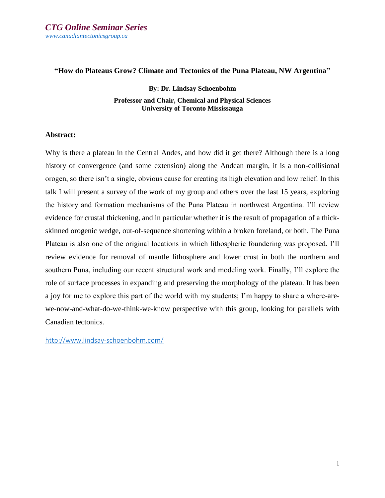## **"How do Plateaus Grow? Climate and Tectonics of the Puna Plateau, NW Argentina"**

**By: Dr. Lindsay Schoenbohm Professor and Chair, Chemical and Physical Sciences University of Toronto Mississauga**

## **Abstract:**

Why is there a plateau in the Central Andes, and how did it get there? Although there is a long history of convergence (and some extension) along the Andean margin, it is a non-collisional orogen, so there isn't a single, obvious cause for creating its high elevation and low relief. In this talk I will present a survey of the work of my group and others over the last 15 years, exploring the history and formation mechanisms of the Puna Plateau in northwest Argentina. I'll review evidence for crustal thickening, and in particular whether it is the result of propagation of a thickskinned orogenic wedge, out-of-sequence shortening within a broken foreland, or both. The Puna Plateau is also one of the original locations in which lithospheric foundering was proposed. I'll review evidence for removal of mantle lithosphere and lower crust in both the northern and southern Puna, including our recent structural work and modeling work. Finally, I'll explore the role of surface processes in expanding and preserving the morphology of the plateau. It has been a joy for me to explore this part of the world with my students; I'm happy to share a where-arewe-now-and-what-do-we-think-we-know perspective with this group, looking for parallels with Canadian tectonics.

[http://www.lindsay-schoenbohm.com/](https://can01.safelinks.protection.outlook.com/?url=http%3A%2F%2Fwww.lindsay-schoenbohm.com%2F&data=04%7C01%7Clindsay.schoenbohm%40utoronto.ca%7Cb012de05bdee4d44756708d99f9305d1%7C78aac2262f034b4d9037b46d56c55210%7C0%7C0%7C637716276079836192%7CUnknown%7CTWFpbGZsb3d8eyJWIjoiMC4wLjAwMDAiLCJQIjoiV2luMzIiLCJBTiI6Ik1haWwiLCJXVCI6Mn0%3D%7C1000&sdata=ioBWBqTwsuBNDT9ok28EVsQR2veIXFvL14VyBlXdBE8%3D&reserved=0)